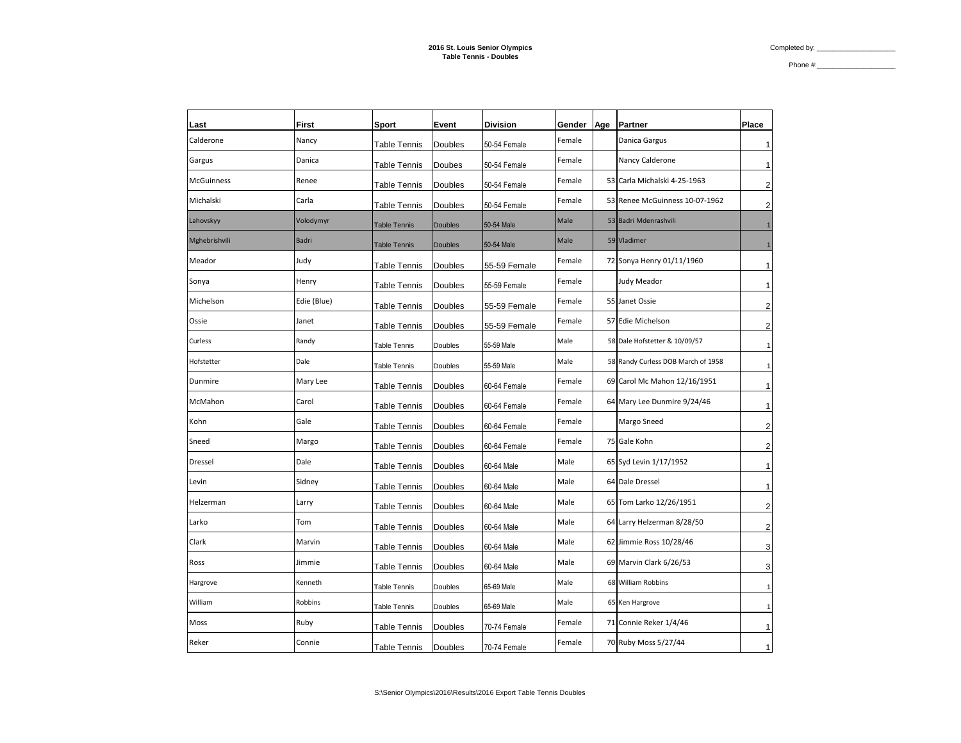Completed by:

Phone #:\_\_\_\_\_\_\_\_\_\_\_\_\_\_\_\_\_\_\_\_

| Last              | First        | Sport               | Event          | <b>Division</b> | Gender | Age | <b>Partner</b>                     | Place                   |
|-------------------|--------------|---------------------|----------------|-----------------|--------|-----|------------------------------------|-------------------------|
| Calderone         | Nancy        | Table Tennis        | Doubles        | 50-54 Female    | Female |     | Danica Gargus                      | $\mathbf{1}$            |
| Gargus            | Danica       | Table Tennis        | Doubes         | 50-54 Female    | Female |     | Nancy Calderone                    | $\mathbf{1}$            |
| <b>McGuinness</b> | Renee        | Table Tennis        | Doubles        | 50-54 Female    | Female |     | 53 Carla Michalski 4-25-1963       | $\overline{c}$          |
| Michalski         | Carla        | Table Tennis        | Doubles        | 50-54 Female    | Female |     | 53 Renee McGuinness 10-07-1962     | $\overline{\mathbf{c}}$ |
| Lahovskyy         | Volodymyr    | <b>Table Tennis</b> | <b>Doubles</b> | 50-54 Male      | Male   |     | 53 Badri Mdenrashvili              | $\mathbf{1}$            |
| Mghebrishvili     | <b>Badri</b> | <b>Table Tennis</b> | <b>Doubles</b> | 50-54 Male      | Male   |     | 59 Vladimer                        | $\mathbf{1}$            |
| Meador            | Judy         | <b>Table Tennis</b> | Doubles        | 55-59 Female    | Female |     | 72 Sonya Henry 01/11/1960          | $\mathbf{1}$            |
| Sonya             | Henry        | Table Tennis        | Doubles        | 55-59 Female    | Female |     | Judy Meador                        | $\mathbf{1}$            |
| Michelson         | Edie (Blue)  | Table Tennis        | Doubles        | 55-59 Female    | Female |     | 55 Janet Ossie                     | $\overline{2}$          |
| Ossie             | Janet        | Table Tennis        | Doubles        | 55-59 Female    | Female |     | 57 Edie Michelson                  | $\overline{\mathbf{c}}$ |
| Curless           | Randy        | <b>Table Tennis</b> | Doubles        | 55-59 Male      | Male   |     | 58 Dale Hofstetter & 10/09/57      | $\mathbf{1}$            |
| Hofstetter        | Dale         | Table Tennis        | Doubles        | 55-59 Male      | Male   |     | 58 Randy Curless DOB March of 1958 | $\mathbf{1}$            |
| Dunmire           | Mary Lee     | <b>Table Tennis</b> | Doubles        | 60-64 Female    | Female |     | 69 Carol Mc Mahon 12/16/1951       | $\mathbf{1}$            |
| McMahon           | Carol        | Table Tennis        | Doubles        | 60-64 Female    | Female |     | 64 Mary Lee Dunmire 9/24/46        | $\mathbf{1}$            |
| Kohn              | Gale         | Table Tennis        | <b>Doubles</b> | 60-64 Female    | Female |     | Margo Sneed                        | $\overline{\mathbf{c}}$ |
| Sneed             | Margo        | Table Tennis        | Doubles        | 60-64 Female    | Female |     | 75 Gale Kohn                       | $\overline{c}$          |
| Dressel           | Dale         | Table Tennis        | Doubles        | 60-64 Male      | Male   |     | 65 Syd Levin 1/17/1952             | $\mathbf{1}$            |
| Levin             | Sidney       | Table Tennis        | Doubles        | 60-64 Male      | Male   |     | 64 Dale Dressel                    | $\mathbf{1}$            |
| Helzerman         | Larry        | Table Tennis        | Doubles        | 60-64 Male      | Male   |     | 65 Tom Larko 12/26/1951            | $\overline{2}$          |
| Larko             | Tom          | Table Tennis        | Doubles        | 60-64 Male      | Male   |     | 64 Larry Helzerman 8/28/50         | $\overline{2}$          |
| Clark             | Marvin       | <b>Table Tennis</b> | Doubles        | 60-64 Male      | Male   |     | 62 Jimmie Ross 10/28/46            | 3                       |
| Ross              | Jimmie       | Table Tennis        | Doubles        | 60-64 Male      | Male   |     | 69 Marvin Clark 6/26/53            | 3                       |
| Hargrove          | Kenneth      | <b>Table Tennis</b> | Doubles        | 65-69 Male      | Male   |     | 68 William Robbins                 | $\mathbf{1}$            |
| William           | Robbins      | Table Tennis        | Doubles        | 65-69 Male      | Male   |     | 65 Ken Hargrove                    | $\mathbf{1}$            |
| Moss              | Ruby         | Table Tennis        | Doubles        | 70-74 Female    | Female |     | 71 Connie Reker 1/4/46             | $\mathbf{1}$            |
| Reker             | Connie       | <b>Table Tennis</b> | Doubles        | 70-74 Female    | Female |     | 70 Ruby Moss 5/27/44               | $\mathbf{1}$            |